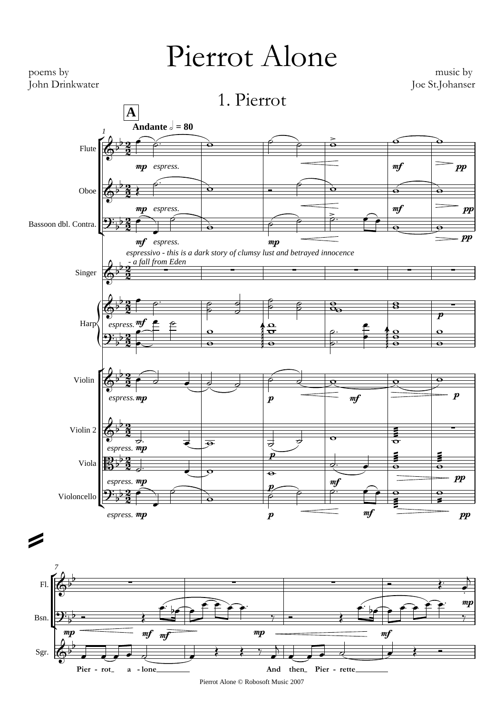## Pierrot Alone



Sgr.  $m\bar{t}$  $\overline{\mathbb{G}^{\flat}}$ b Pier - rot mp  $\overline{\phantom{a}}$ a - lone mf  $\overline{\phantom{a}}$  $\overline{\phantom{a}}$  $\leftrightarrow$ And then mp  $\overline{\phantom{a}}$  $\overline{a}$ ₹ Pier - rette  $\sqrt{2}$  $m_{\tilde{l}}$  $\qquad \qquad \bullet$   $\qquad \qquad$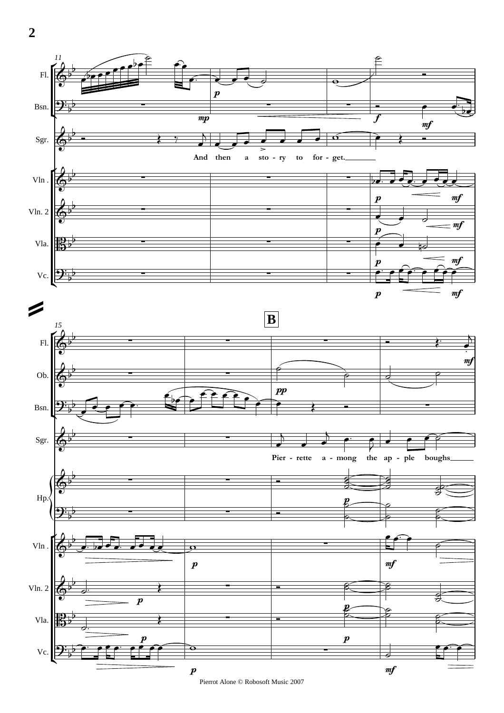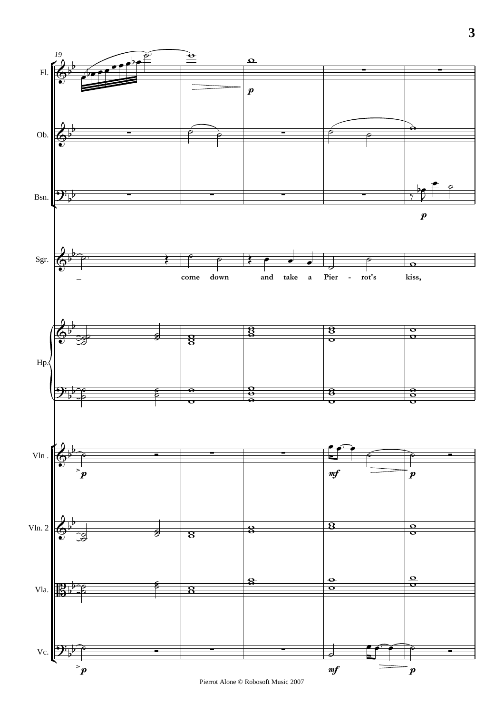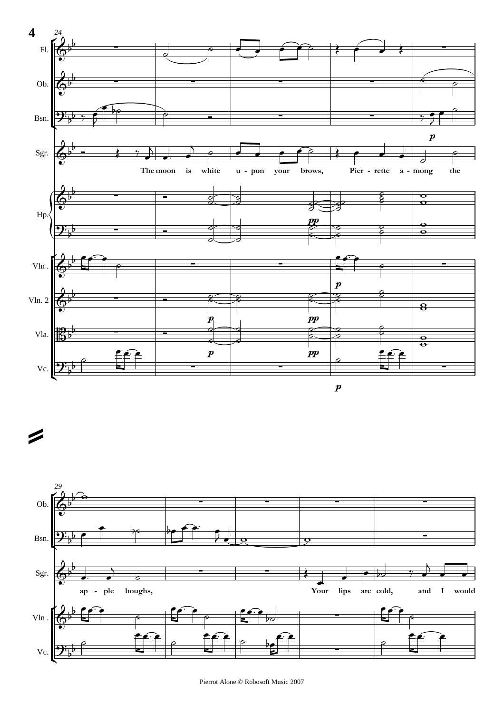



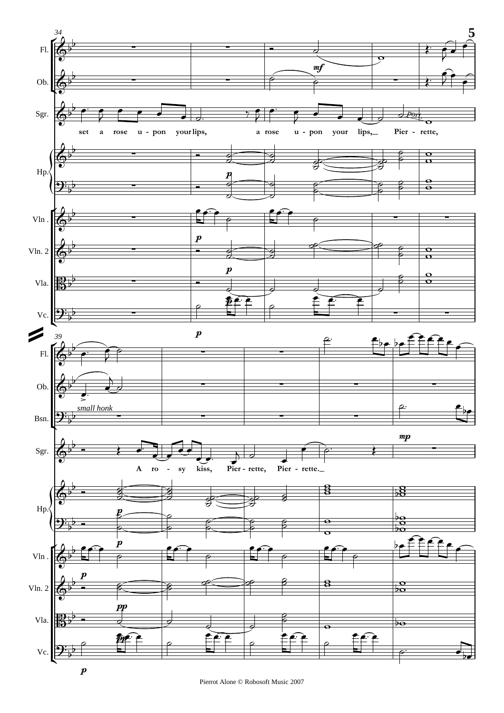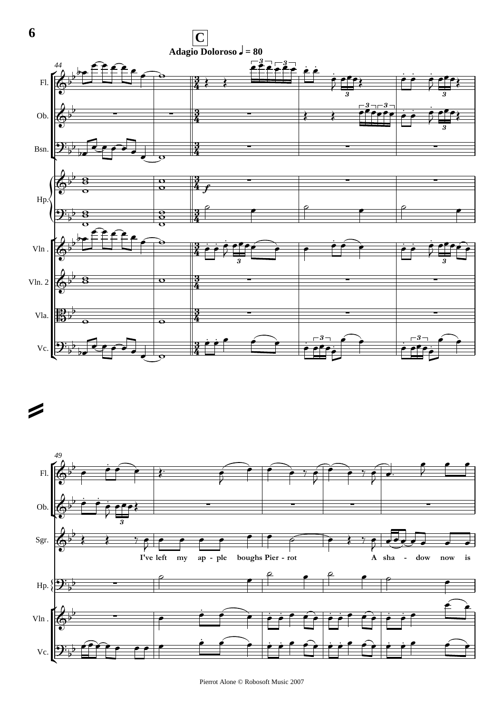

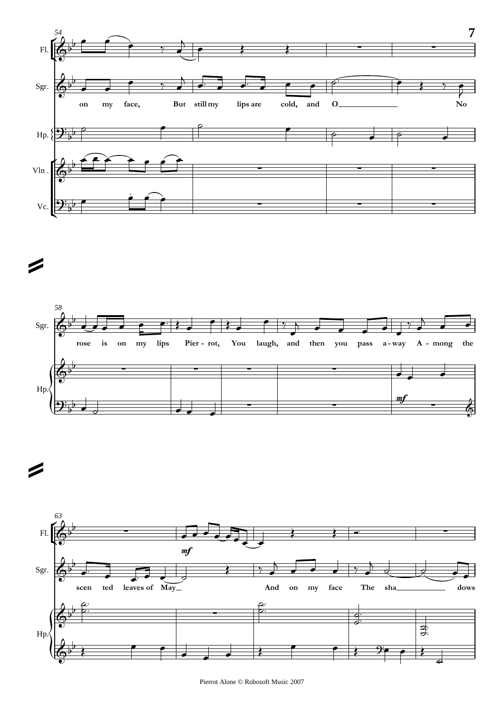



 $\blacktriangleright$ 

 $\boldsymbol{z}$ 

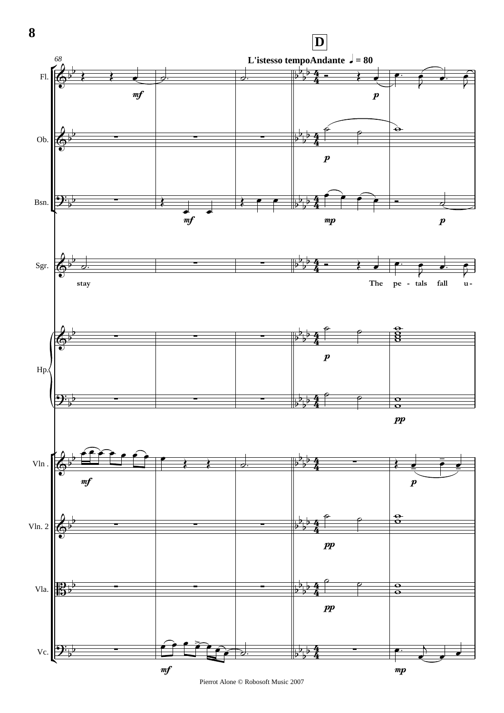

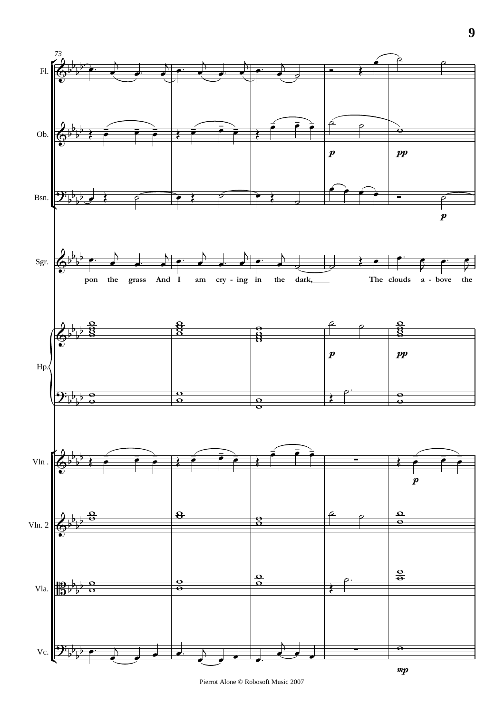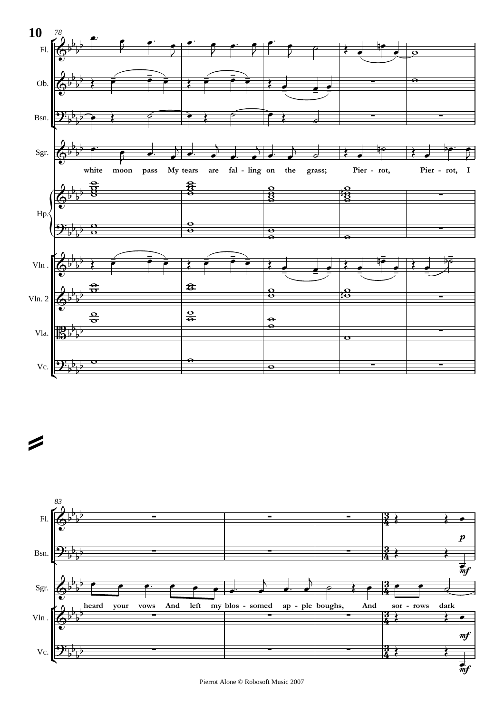

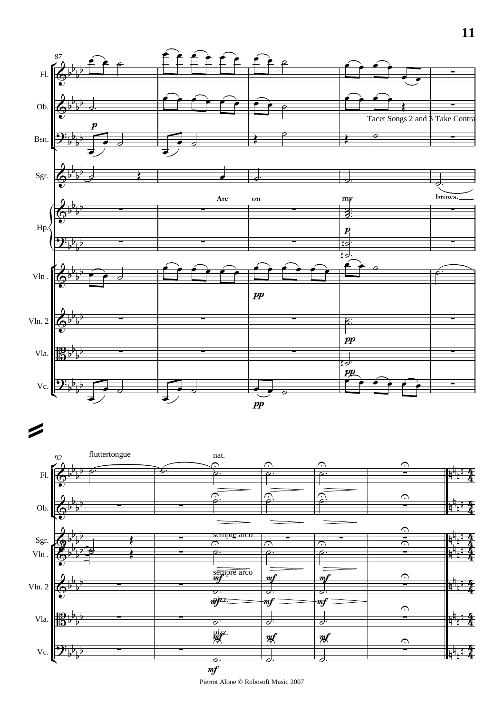

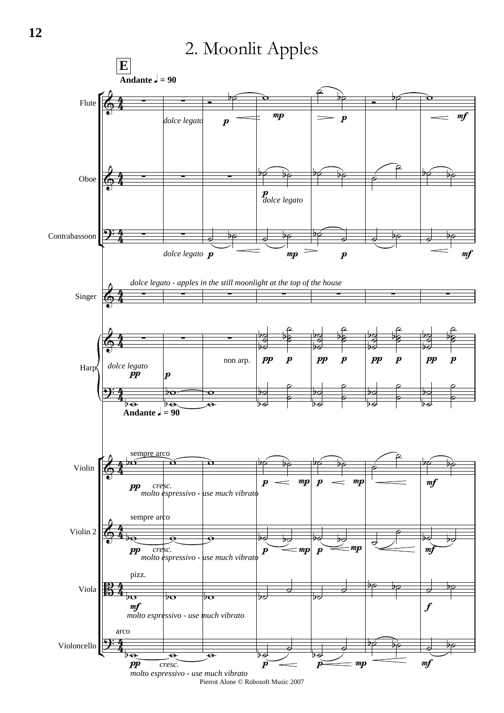## 2. Moonlit Apples

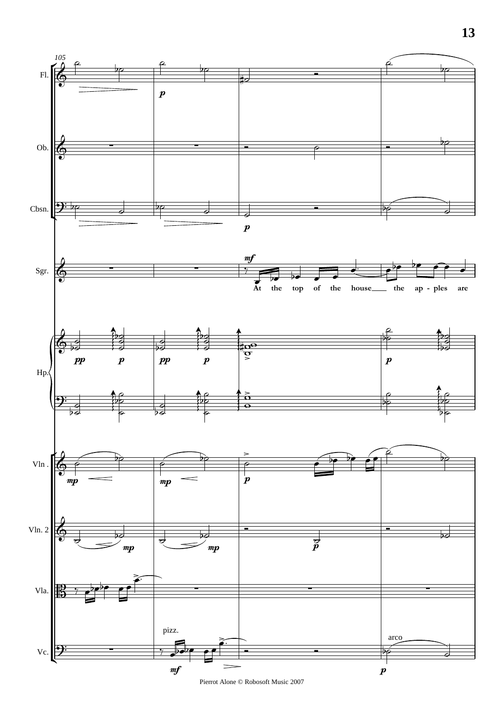

Pierrot Alone © Robosoft Music 2007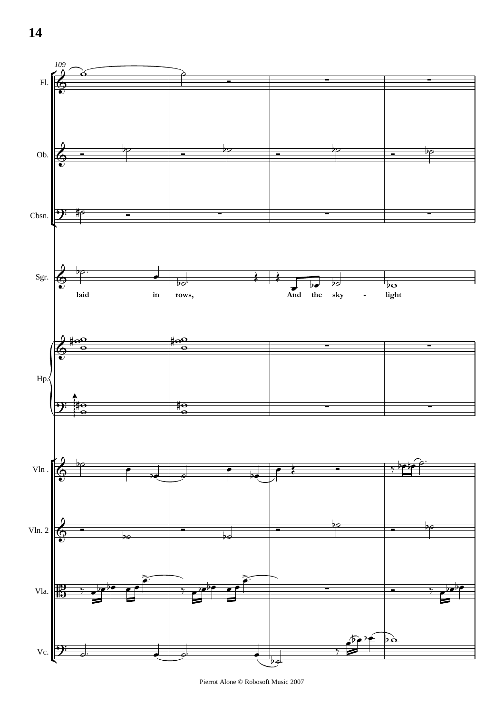

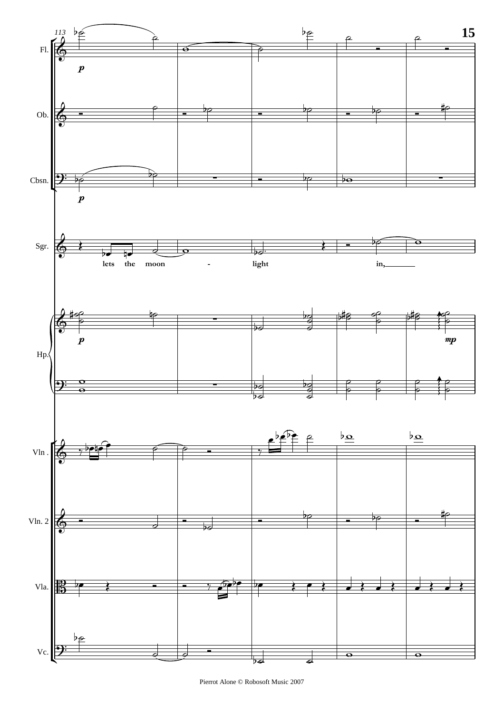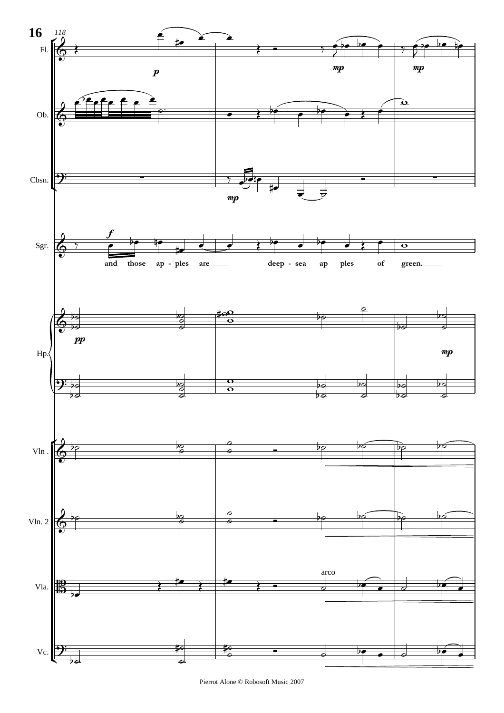

Pierrot Alone © Robosoft Music 2007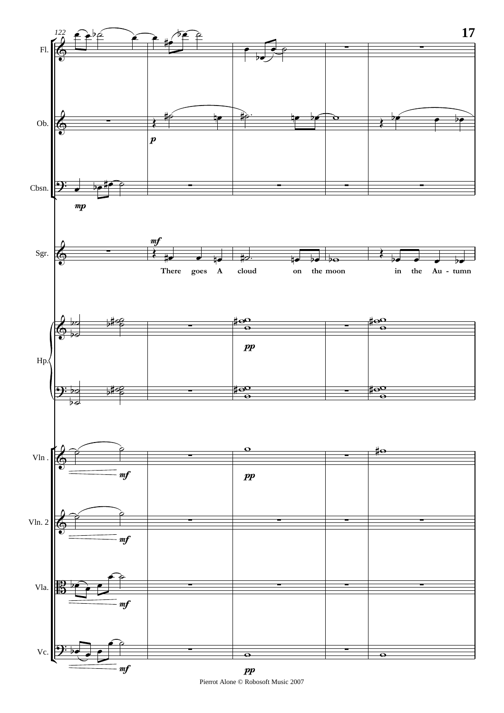

Pierrot Alone © Robosoft Music 2007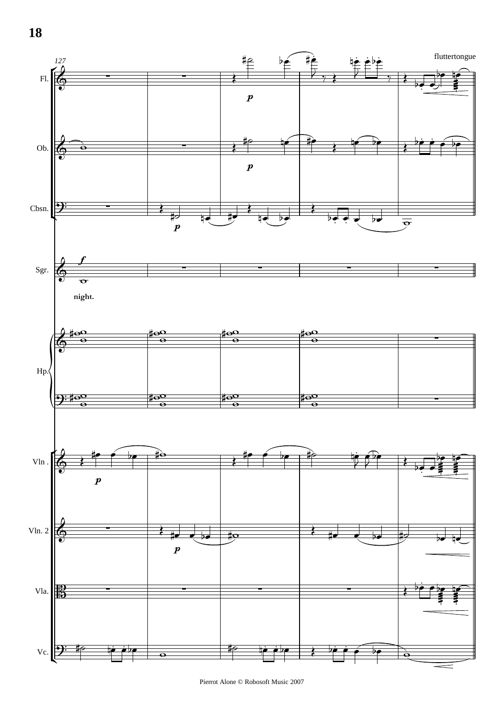

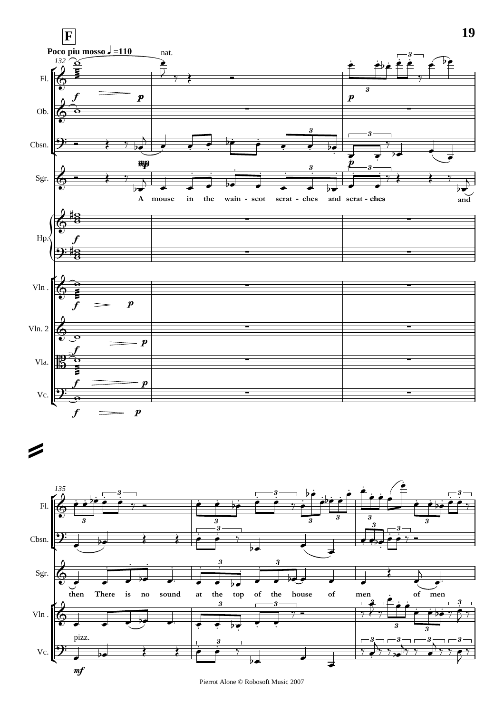

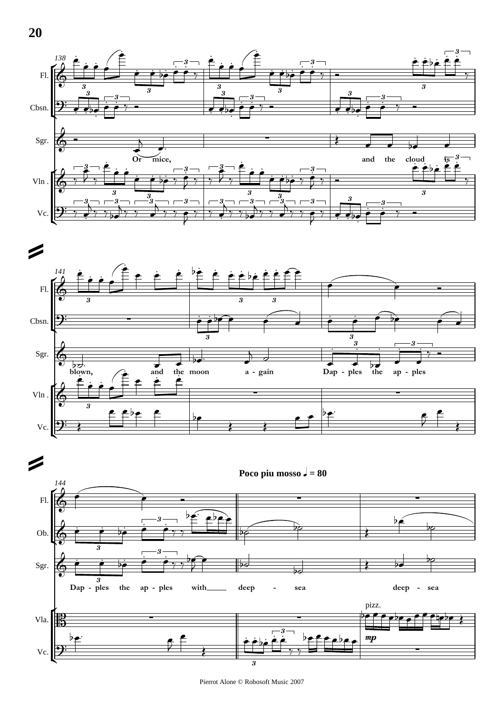



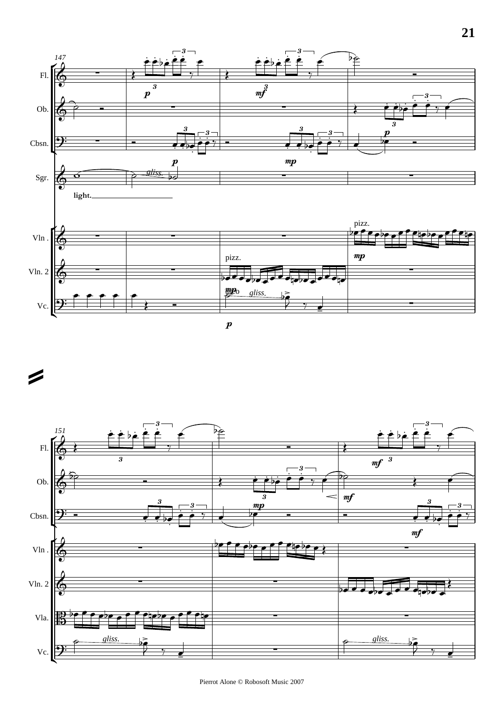

 $\boldsymbol{p}$ 

 $\overline{\phantom{a}}$ 



Pierrot Alone © Robosoft Music 2007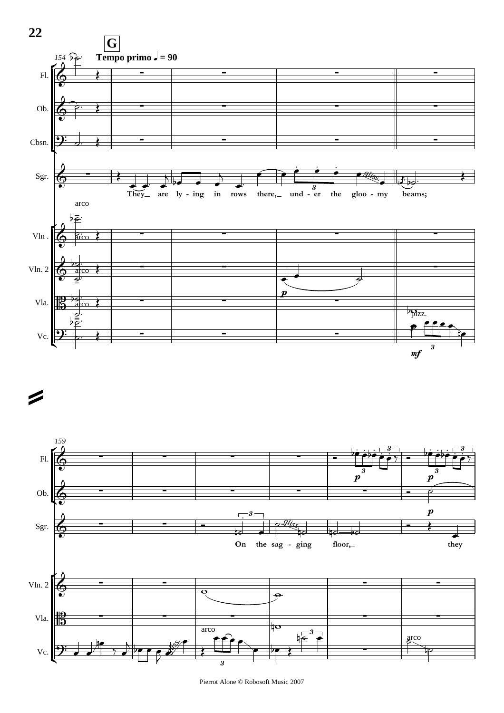



 $\boldsymbol{z}$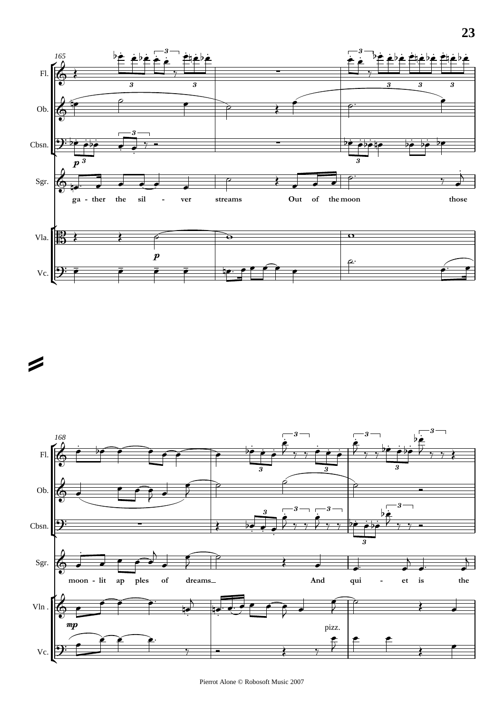

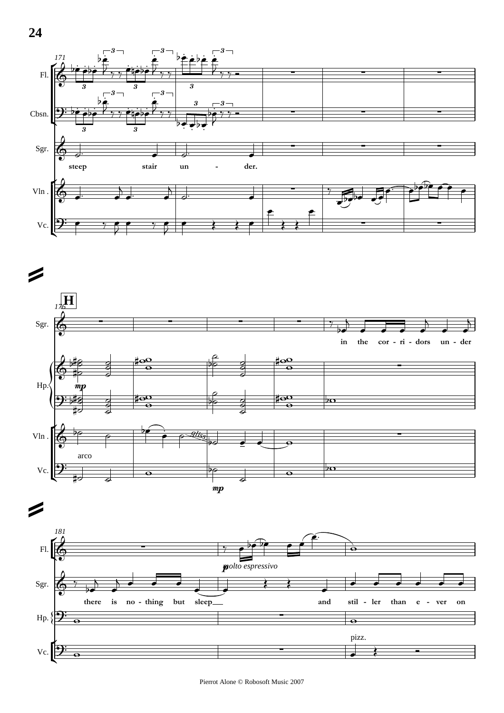





Pierrot Alone © Robosoft Music 2007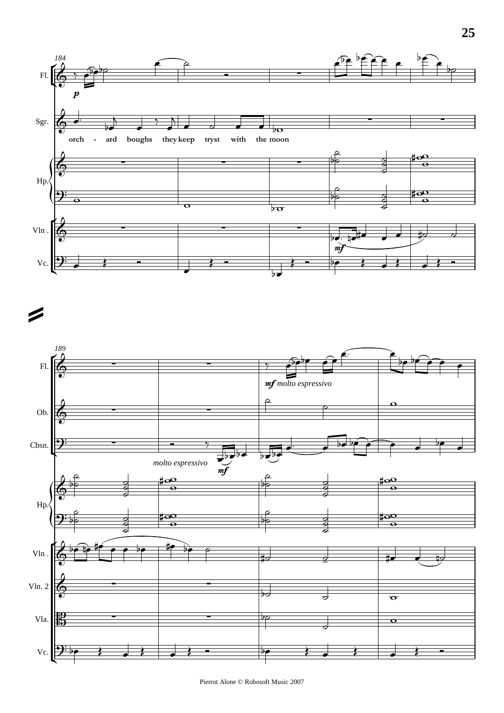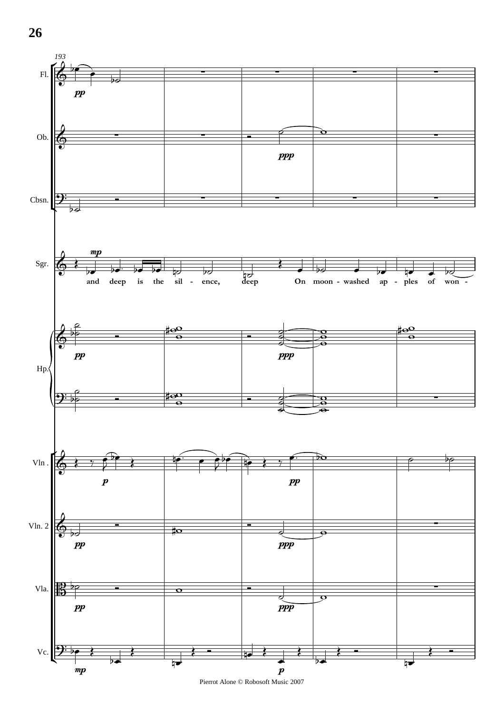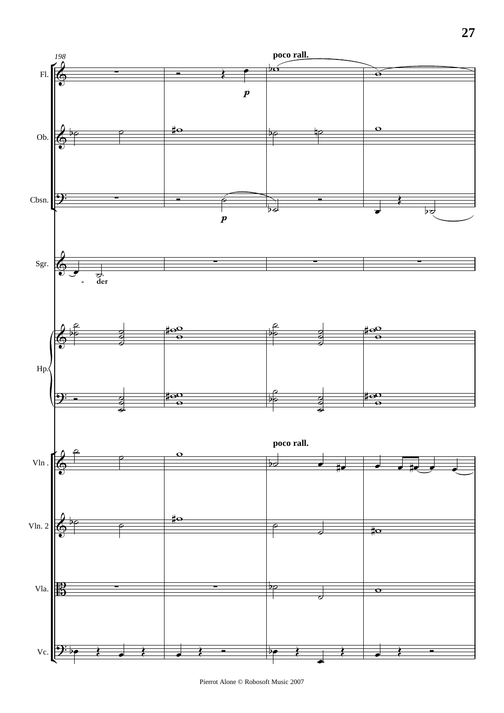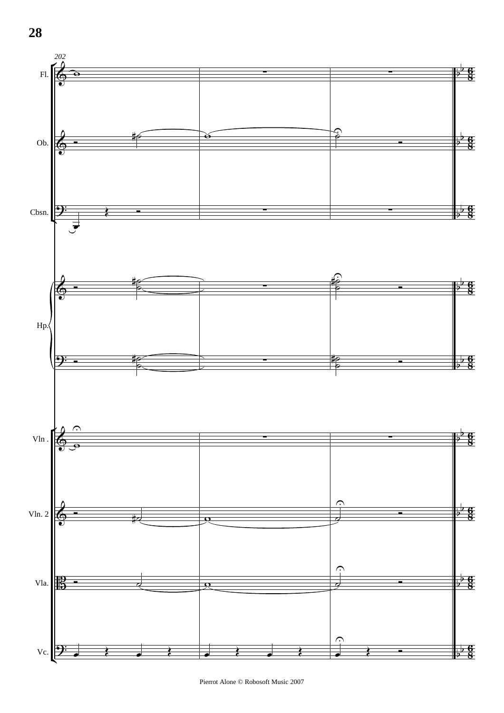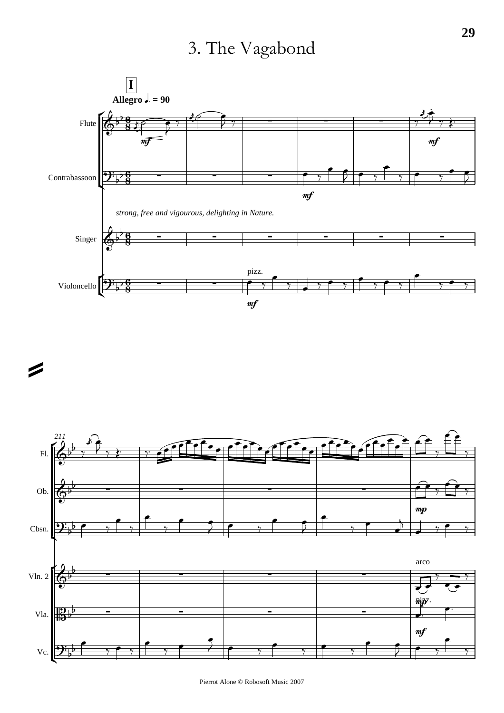## 3. The Vagabond





 $\overline{\phantom{a}}$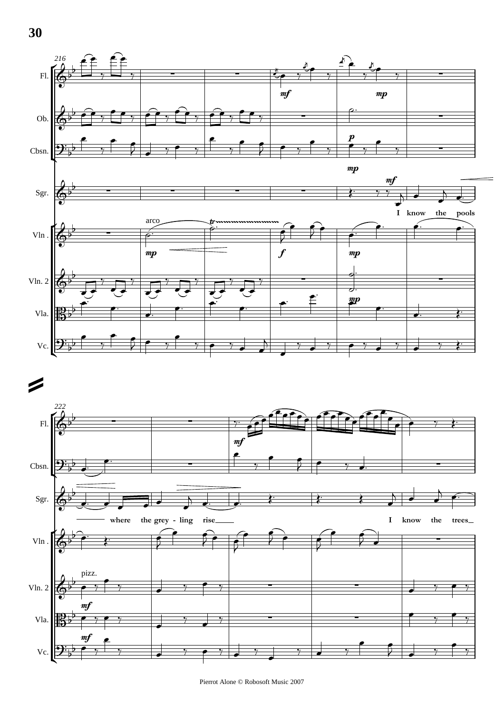

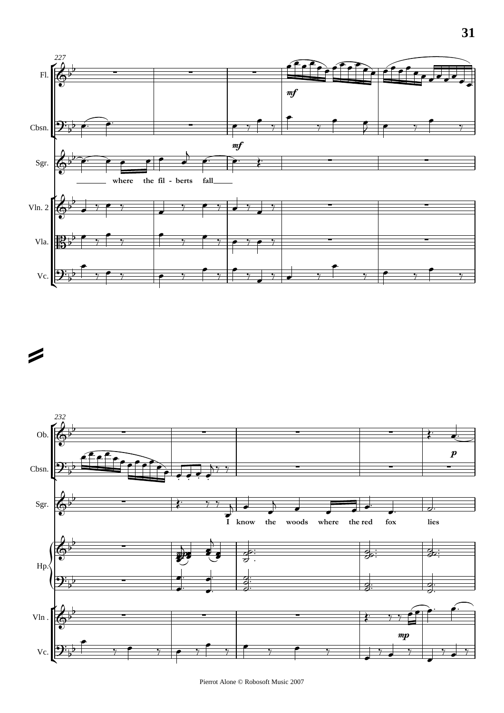



**31**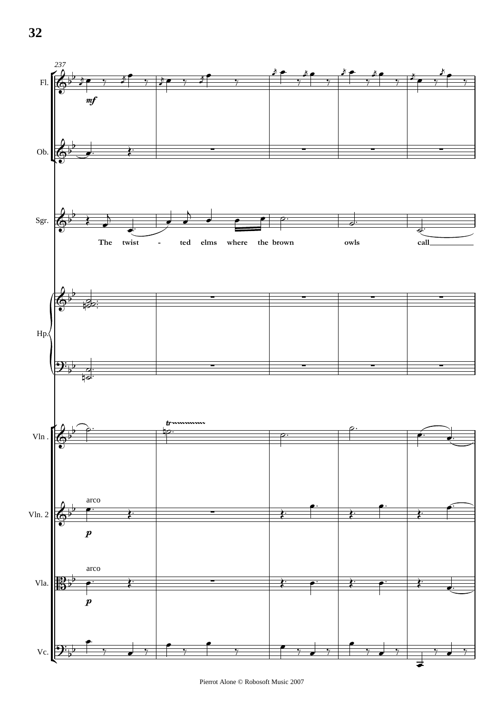![](_page_31_Figure_0.jpeg)

![](_page_31_Figure_1.jpeg)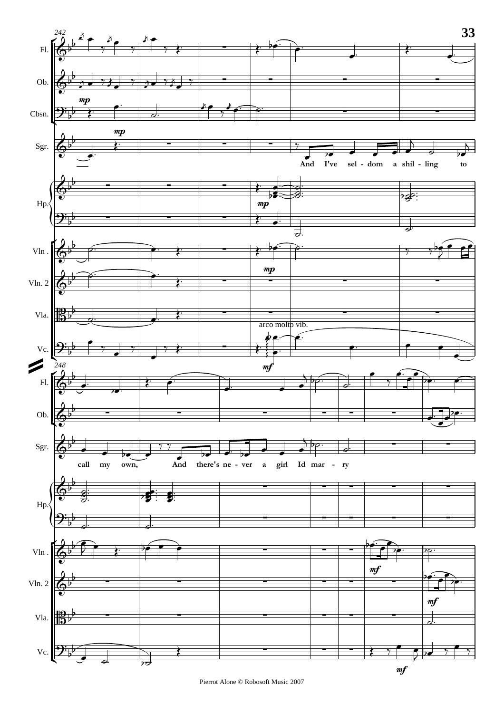![](_page_32_Figure_0.jpeg)

mf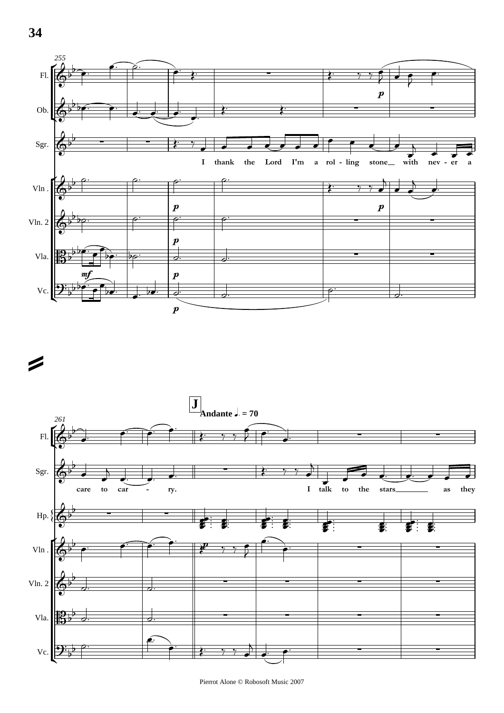![](_page_33_Figure_0.jpeg)

![](_page_33_Figure_1.jpeg)

**34**

 $\overline{\phantom{a}}$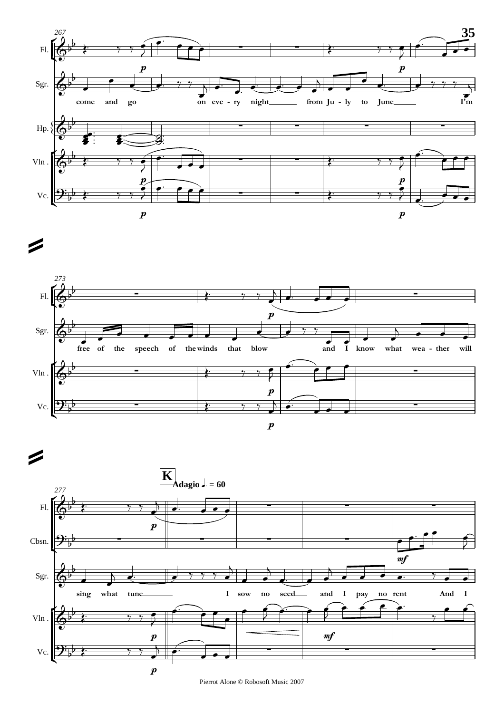![](_page_34_Figure_0.jpeg)

![](_page_34_Figure_1.jpeg)

![](_page_34_Figure_2.jpeg)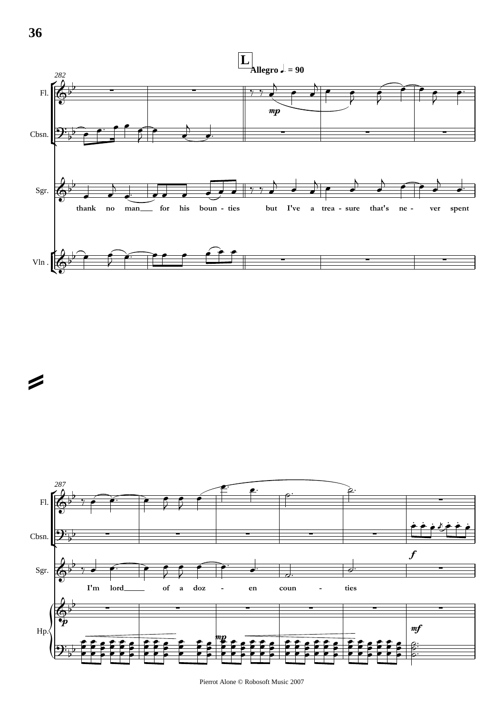![](_page_35_Figure_0.jpeg)

![](_page_35_Figure_1.jpeg)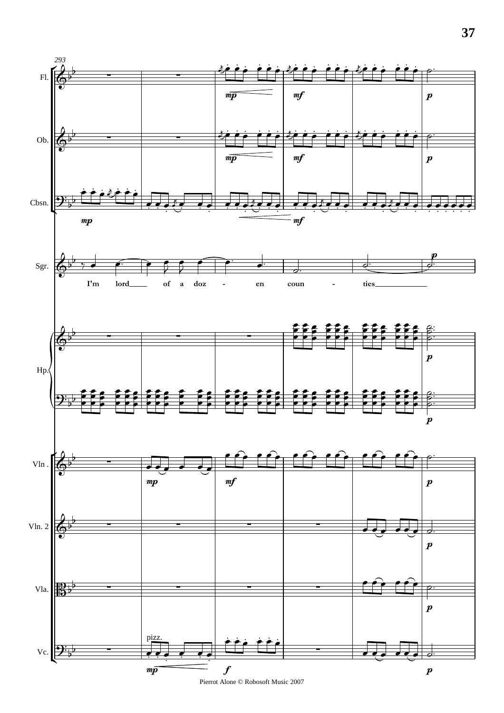![](_page_36_Figure_0.jpeg)

**37**